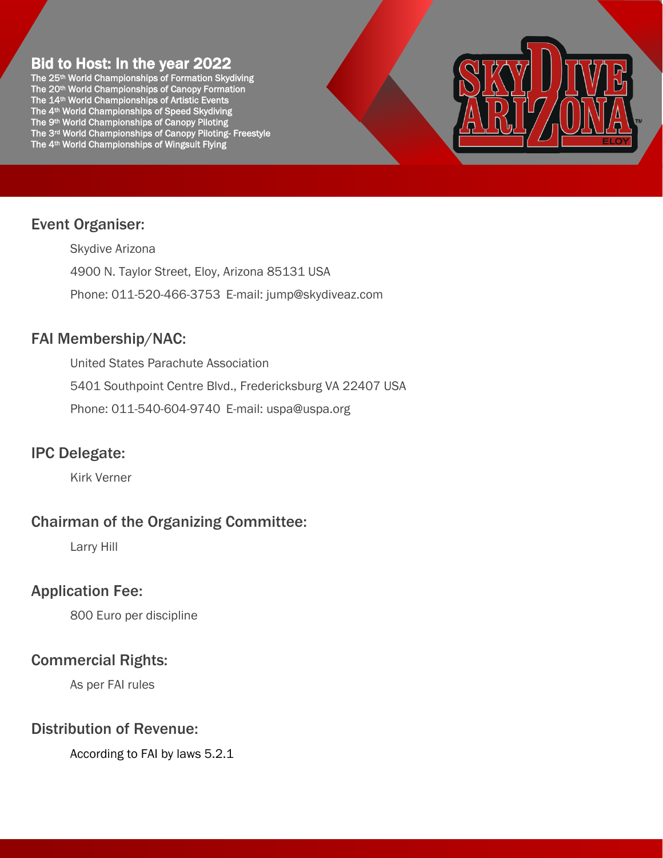# Bid to Host: In the year 2022

The 25<sup>th</sup> World Championships of Formation Skydiving The 20th World Championships of Canopy Formation The 14th World Championships of Artistic Events The 4th World Championships of Speed Skydiving The 9<sup>th</sup> World Championships of Canopy Piloting The 3rd World Championships of Canopy Piloting- Freestyle The 4th World Championships of Wingsuit Flying



# Event Organiser:

Skydive Arizona 4900 N. Taylor Street, Eloy, Arizona 85131 USA Phone: 011-520-466-3753 E-mail: [jump@skydiveaz.com](mailto:jump@skydiveaz.com)

# FAI Membership/NAC:

United States Parachute Association 5401 Southpoint Centre Blvd., Fredericksburg VA 22407 USA Phone: 011-540-604-9740 E-mail: [uspa@uspa.org](mailto:uspa@uspa.org)

# IPC Delegate:

Kirk Verner

# Chairman of the Organizing Committee:

Larry Hill

# Application Fee:

800 Euro per discipline

# Commercial Rights:

As per FAI rules

# Distribution of Revenue:

According to FAI by laws 5.2.1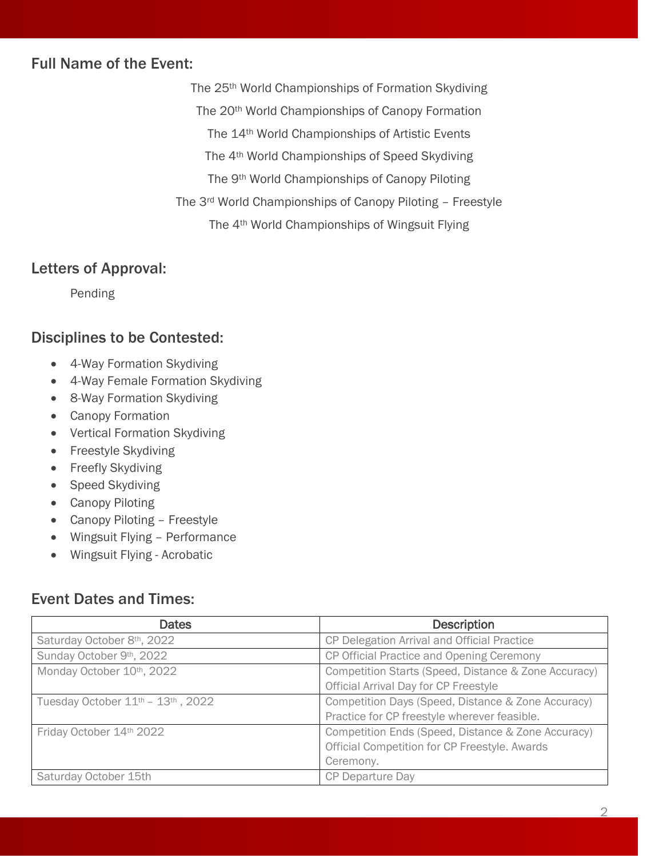## Full Name of the Event:

The 25th World Championships of Formation Skydiving The 20th World Championships of Canopy Formation The 14th World Championships of Artistic Events The 4th World Championships of Speed Skydiving The 9<sup>th</sup> World Championships of Canopy Piloting The 3rd World Championships of Canopy Piloting – Freestyle The 4th World Championships of Wingsuit Flying

## Letters of Approval:

Pending

## Disciplines to be Contested:

- 4-Way Formation Skydiving
- 4-Way Female Formation Skydiving
- 8-Way Formation Skydiving
- Canopy Formation
- Vertical Formation Skydiving
- Freestyle Skydiving
- Freefly Skydiving
- Speed Skydiving
- Canopy Piloting
- Canopy Piloting Freestyle
- Wingsuit Flying Performance
- Wingsuit Flying Acrobatic

## Event Dates and Times:

| <b>Dates</b>                         | <b>Description</b>                                   |
|--------------------------------------|------------------------------------------------------|
| Saturday October 8th, 2022           | CP Delegation Arrival and Official Practice          |
| Sunday October 9th, 2022             | CP Official Practice and Opening Ceremony            |
| Monday October 10th, 2022            | Competition Starts (Speed, Distance & Zone Accuracy) |
|                                      | Official Arrival Day for CP Freestyle                |
| Tuesday October $11th - 13th$ , 2022 | Competition Days (Speed, Distance & Zone Accuracy)   |
|                                      | Practice for CP freestyle wherever feasible.         |
| Friday October 14th 2022             | Competition Ends (Speed, Distance & Zone Accuracy)   |
|                                      | Official Competition for CP Freestyle. Awards        |
|                                      | Ceremony.                                            |
| Saturday October 15th                | <b>CP Departure Day</b>                              |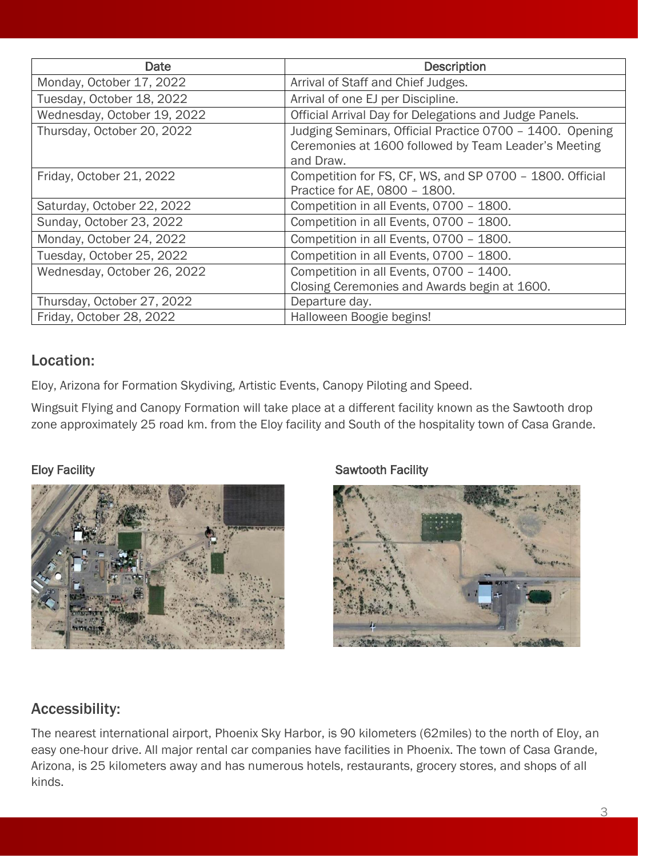| Date                        | <b>Description</b>                                                                                                            |
|-----------------------------|-------------------------------------------------------------------------------------------------------------------------------|
| Monday, October 17, 2022    | Arrival of Staff and Chief Judges.                                                                                            |
| Tuesday, October 18, 2022   | Arrival of one EJ per Discipline.                                                                                             |
| Wednesday, October 19, 2022 | Official Arrival Day for Delegations and Judge Panels.                                                                        |
| Thursday, October 20, 2022  | Judging Seminars, Official Practice 0700 - 1400. Opening<br>Ceremonies at 1600 followed by Team Leader's Meeting<br>and Draw. |
| Friday, October 21, 2022    | Competition for FS, CF, WS, and SP 0700 - 1800. Official<br>Practice for AE, 0800 - 1800.                                     |
| Saturday, October 22, 2022  | Competition in all Events, 0700 - 1800.                                                                                       |
| Sunday, October 23, 2022    | Competition in all Events, 0700 - 1800.                                                                                       |
| Monday, October 24, 2022    | Competition in all Events, 0700 - 1800.                                                                                       |
| Tuesday, October 25, 2022   | Competition in all Events, 0700 - 1800.                                                                                       |
| Wednesday, October 26, 2022 | Competition in all Events, 0700 - 1400.<br>Closing Ceremonies and Awards begin at 1600.                                       |
| Thursday, October 27, 2022  | Departure day.                                                                                                                |
| Friday, October 28, 2022    | Halloween Boogie begins!                                                                                                      |

# Location:

Eloy, Arizona for Formation Skydiving, Artistic Events, Canopy Piloting and Speed.

Wingsuit Flying and Canopy Formation will take place at a different facility known as the Sawtooth drop zone approximately 25 road km. from the Eloy facility and South of the hospitality town of Casa Grande.



## Eloy Facility **Sawtooth Facility** Sawtooth Facility



# Accessibility:

The nearest international airport, Phoenix Sky Harbor, is 90 kilometers (62miles) to the north of Eloy, an easy one-hour drive. All major rental car companies have facilities in Phoenix. The town of Casa Grande, Arizona, is 25 kilometers away and has numerous hotels, restaurants, grocery stores, and shops of all kinds.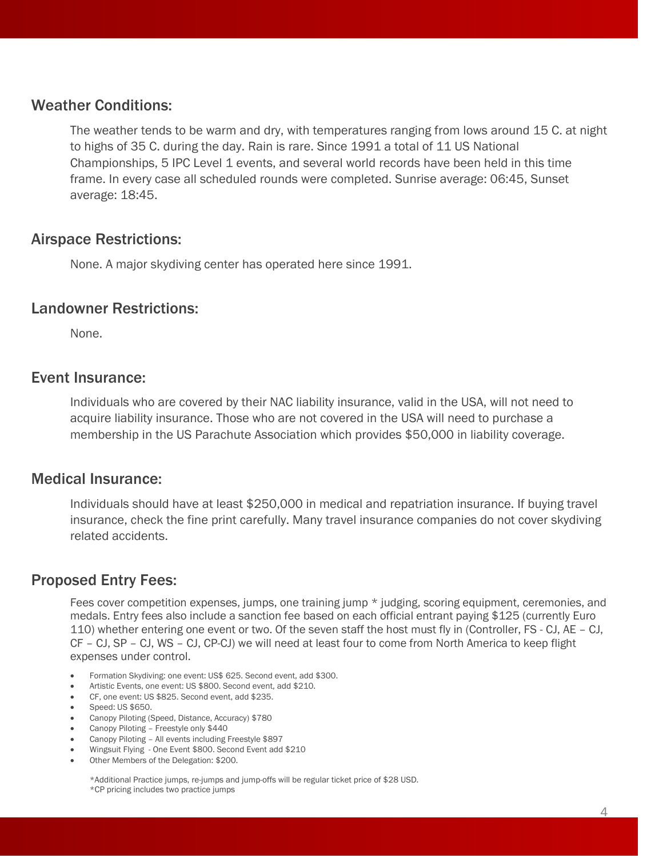## Weather Conditions:

The weather tends to be warm and dry, with temperatures ranging from lows around 15 C. at night to highs of 35 C. during the day. Rain is rare. Since 1991 a total of 11 US National Championships, 5 IPC Level 1 events, and several world records have been held in this time frame. In every case all scheduled rounds were completed. Sunrise average: 06:45, Sunset average: 18:45.

## Airspace Restrictions:

None. A major skydiving center has operated here since 1991.

#### Landowner Restrictions:

None.

#### Event Insurance:

Individuals who are covered by their NAC liability insurance, valid in the USA, will not need to acquire liability insurance. Those who are not covered in the USA will need to purchase a membership in the US Parachute Association which provides \$50,000 in liability coverage.

#### Medical Insurance:

Individuals should have at least \$250,000 in medical and repatriation insurance. If buying travel insurance, check the fine print carefully. Many travel insurance companies do not cover skydiving related accidents.

## Proposed Entry Fees:

Fees cover competition expenses, jumps, one training jump \* judging, scoring equipment, ceremonies, and medals. Entry fees also include a sanction fee based on each official entrant paying \$125 (currently Euro 110) whether entering one event or two. Of the seven staff the host must fly in (Controller, FS - CJ, AE – CJ, CF – CJ, SP – CJ, WS – CJ, CP-CJ) we will need at least four to come from North America to keep flight expenses under control.

- Formation Skydiving: one event: US\$ 625. Second event, add \$300.
- Artistic Events, one event: US \$800. Second event, add \$210.
- CF, one event: US \$825. Second event, add \$235.
- Speed: US \$650.
- Canopy Piloting (Speed, Distance, Accuracy) \$780
- Canopy Piloting Freestyle only \$440
- Canopy Piloting All events including Freestyle \$897
- Wingsuit Flying One Event \$800. Second Event add \$210
- Other Members of the Delegation: \$200.

\*Additional Practice jumps, re-jumps and jump-offs will be regular ticket price of \$28 USD.

\*CP pricing includes two practice jumps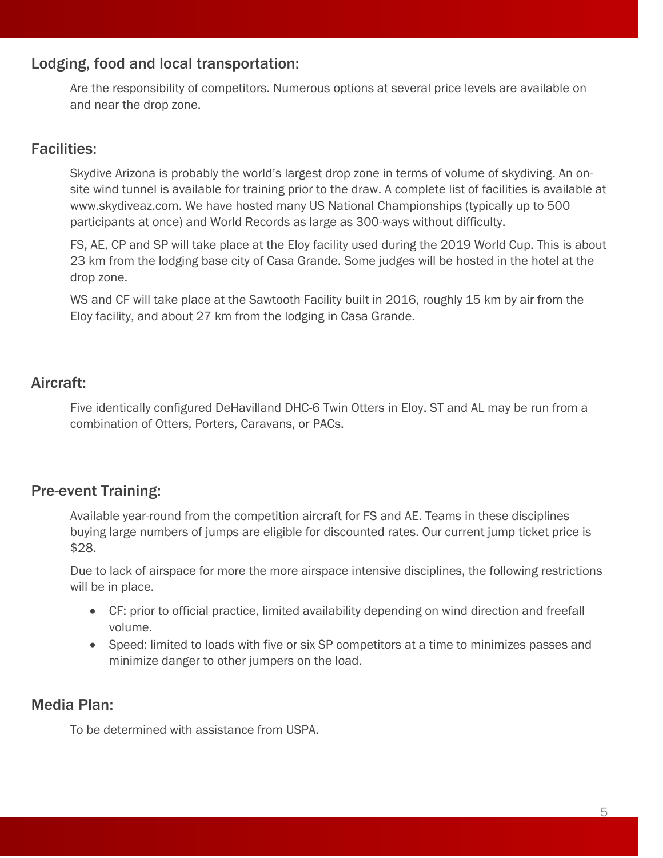## Lodging, food and local transportation:

Are the responsibility of competitors. Numerous options at several price levels are available on and near the drop zone.

## Facilities:

Skydive Arizona is probably the world's largest drop zone in terms of volume of skydiving. An onsite wind tunnel is available for training prior to the draw. A complete list of facilities is available at [www.skydiveaz.com.](http://www.skydiveaz.com/) We have hosted many US National Championships (typically up to 500 participants at once) and World Records as large as 300-ways without difficulty.

FS, AE, CP and SP will take place at the Eloy facility used during the 2019 World Cup. This is about 23 km from the lodging base city of Casa Grande. Some judges will be hosted in the hotel at the drop zone.

WS and CF will take place at the Sawtooth Facility built in 2016, roughly 15 km by air from the Eloy facility, and about 27 km from the lodging in Casa Grande.

# Aircraft:

Five identically configured DeHavilland DHC-6 Twin Otters in Eloy. ST and AL may be run from a combination of Otters, Porters, Caravans, or PACs.

# Pre-event Training:

Available year-round from the competition aircraft for FS and AE. Teams in these disciplines buying large numbers of jumps are eligible for discounted rates. Our current jump ticket price is \$28.

Due to lack of airspace for more the more airspace intensive disciplines, the following restrictions will be in place.

- CF: prior to official practice, limited availability depending on wind direction and freefall volume.
- Speed: limited to loads with five or six SP competitors at a time to minimizes passes and minimize danger to other jumpers on the load.

# Media Plan:

To be determined with assistance from USPA.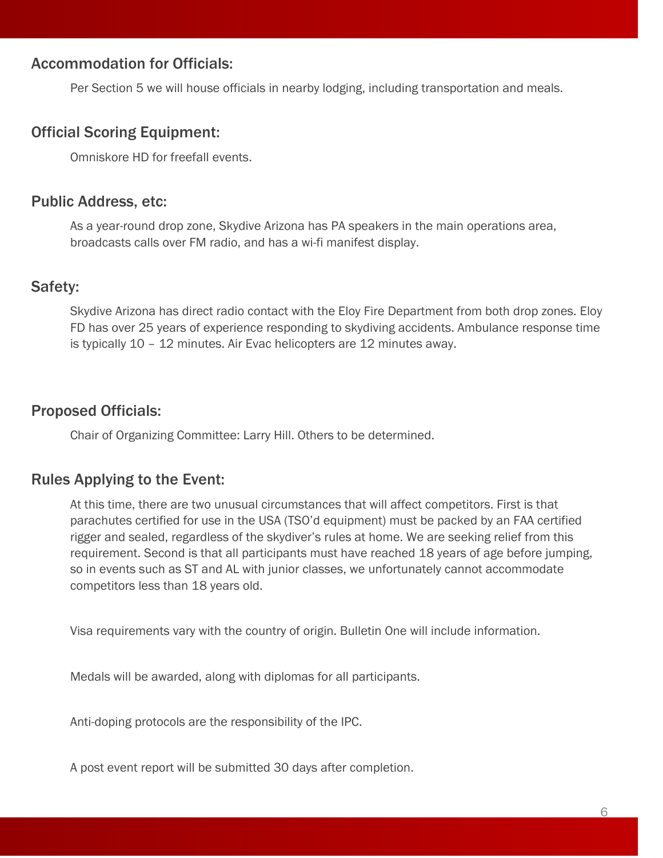## Accommodation for Officials:

Per Section 5 we will house officials in nearby lodging, including transportation and meals.

### Official Scoring Equipment:

Omniskore HD for freefall events.

#### Public Address, etc:

As a year-round drop zone, Skydive Arizona has PA speakers in the main operations area, broadcasts calls over FM radio, and has a wi-fi manifest display.

#### Safety:

Skydive Arizona has direct radio contact with the Eloy Fire Department from both drop zones. Eloy FD has over 25 years of experience responding to skydiving accidents. Ambulance response time is typically 10 – 12 minutes. Air Evac helicopters are 12 minutes away.

## Proposed Officials:

Chair of Organizing Committee: Larry Hill. Others to be determined.

## Rules Applying to the Event:

At this time, there are two unusual circumstances that will affect competitors. First is that parachutes certified for use in the USA (TSO'd equipment) must be packed by an FAA certified rigger and sealed, regardless of the skydiver's rules at home. We are seeking relief from this requirement. Second is that all participants must have reached 18 years of age before jumping, so in events such as ST and AL with junior classes, we unfortunately cannot accommodate competitors less than 18 years old.

Visa requirements vary with the country of origin. Bulletin One will include information.

Medals will be awarded, along with diplomas for all participants.

Anti-doping protocols are the responsibility of the IPC.

A post event report will be submitted 30 days after completion.